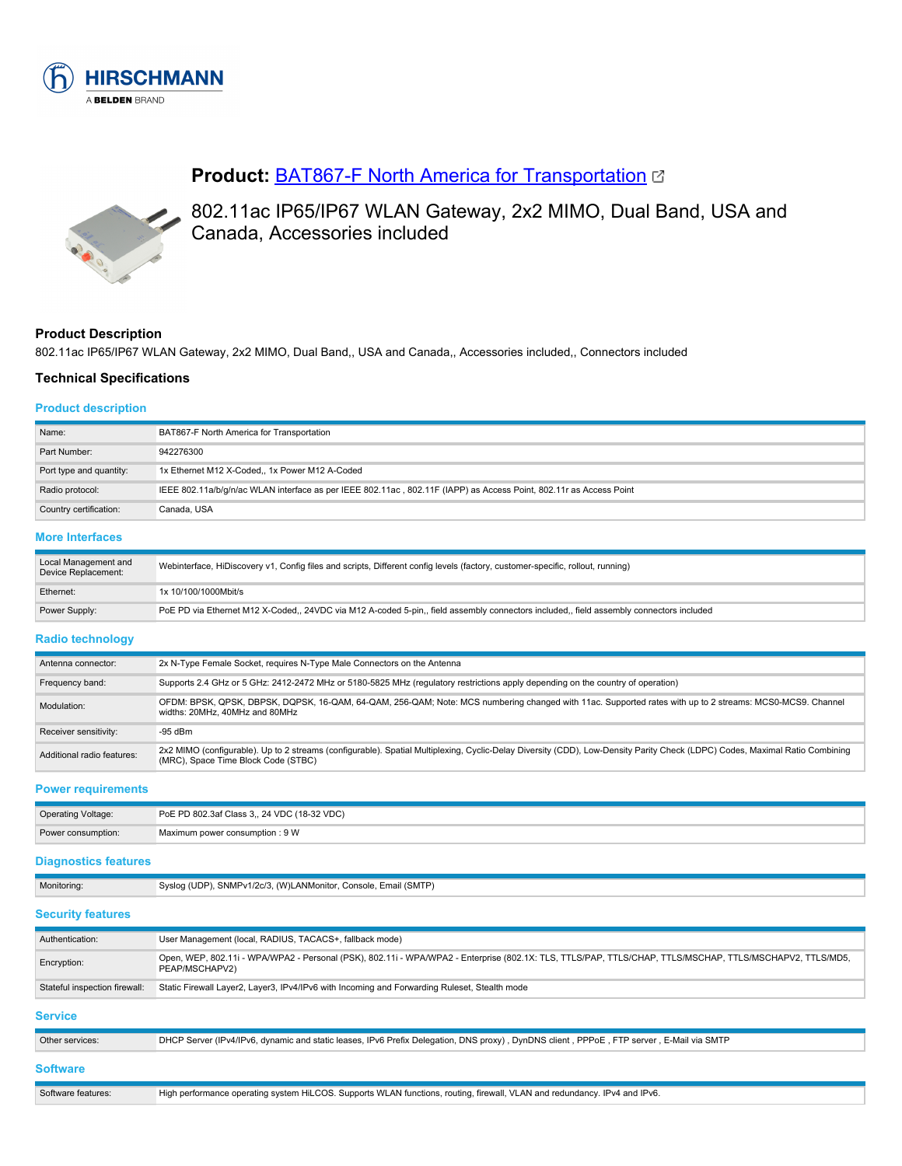

# **Product:** [BAT867-F North America for Transportation](https://catalog.belden.com/index.cfm?event=pd&p=PF_942276300&tab=downloads)



802.11ac IP65/IP67 WLAN Gateway, 2x2 MIMO, Dual Band, USA and Canada, Accessories included

### **Product Description**

802.11ac IP65/IP67 WLAN Gateway, 2x2 MIMO, Dual Band,, USA and Canada,, Accessories included,, Connectors included

### **Technical Specifications**

#### **Product description**

| Name:                   | BAT867-F North America for Transportation                                                                          |
|-------------------------|--------------------------------------------------------------------------------------------------------------------|
| Part Number:            | 942276300                                                                                                          |
| Port type and quantity: | 1x Ethernet M12 X-Coded,, 1x Power M12 A-Coded                                                                     |
| Radio protocol:         | IEEE 802.11a/b/g/n/ac WLAN interface as per IEEE 802.11ac, 802.11F (IAPP) as Access Point, 802.11r as Access Point |
| Country certification:  | Canada, USA                                                                                                        |
| More Interfaces         |                                                                                                                    |

#### **re interfac**

| Local Management and<br>Device Replacement: | Webinterface, HiDiscovery v1, Config files and scripts, Different config levels (factory, customer-specific, rollout, running)          |
|---------------------------------------------|-----------------------------------------------------------------------------------------------------------------------------------------|
| Ethernet:                                   | 1x 10/100/1000Mbit/s                                                                                                                    |
| Power Supply:                               | PoE PD via Ethernet M12 X-Coded,, 24VDC via M12 A-coded 5-pin,, field assembly connectors included,, field assembly connectors included |

#### **Radio technology**

| Antenna connector:         | 2x N-Type Female Socket, requires N-Type Male Connectors on the Antenna                                                                                                                                            |
|----------------------------|--------------------------------------------------------------------------------------------------------------------------------------------------------------------------------------------------------------------|
| Frequency band:            | Supports 2.4 GHz or 5 GHz: 2412-2472 MHz or 5180-5825 MHz (regulatory restrictions apply depending on the country of operation)                                                                                    |
| Modulation:                | OFDM: BPSK, QPSK, DBPSK, DQPSK, 16-QAM, 64-QAM, 256-QAM; Note: MCS numbering changed with 11ac. Supported rates with up to 2 streams: MCS0-MCS9. Channel<br>widths: 20MHz, 40MHz and 80MHz                         |
| Receiver sensitivity:      | $-95$ dBm                                                                                                                                                                                                          |
| Additional radio features: | 2x2 MIMO (configurable). Up to 2 streams (configurable). Spatial Multiplexing, Cyclic-Delay Diversity (CDD), Low-Density Parity Check (LDPC) Codes, Maximal Ratio Combining<br>(MRC), Space Time Block Code (STBC) |

**Power requirements**

| <b>Operating Voltage:</b> | PoE PD 802.3af Class 3,, 24 VDC (18-32 VDC) |
|---------------------------|---------------------------------------------|
| Power consumption:        | Maximum power consumption : 9 W             |

### **Diagnostics features**

| Monitoring:                   | Syslog (UDP), SNMPv1/2c/3, (W)LANMonitor, Console, Email (SMTP)                                                                                                            |
|-------------------------------|----------------------------------------------------------------------------------------------------------------------------------------------------------------------------|
| <b>Security features</b>      |                                                                                                                                                                            |
| Authentication:               | User Management (local, RADIUS, TACACS+, fallback mode)                                                                                                                    |
| Encryption:                   | Open, WEP, 802.11i - WPA/WPA2 - Personal (PSK), 802.11i - WPA/WPA2 - Enterprise (802.1X: TLS, TTLS/PAP, TTLS/CHAP, TTLS/MSCHAP, TTLS/MSCHAPV2, TTLS/MD5,<br>PEAP/MSCHAPV2) |
| Stateful inspection firewall: | Static Firewall Layer2, Layer3, IPv4/IPv6 with Incoming and Forwarding Ruleset, Stealth mode                                                                               |
| <b>Service</b>                |                                                                                                                                                                            |
| Other services:               | DHCP Server (IPv4/IPv6, dynamic and static leases, IPv6 Prefix Delegation, DNS proxy), DynDNS client, PPPoE, FTP server, E-Mail via SMTP                                   |
| <b>Software</b>               |                                                                                                                                                                            |
| Software features:            | High performance operating system HiLCOS. Supports WLAN functions, routing, firewall, VLAN and redundancy. IPv4 and IPv6.                                                  |
|                               |                                                                                                                                                                            |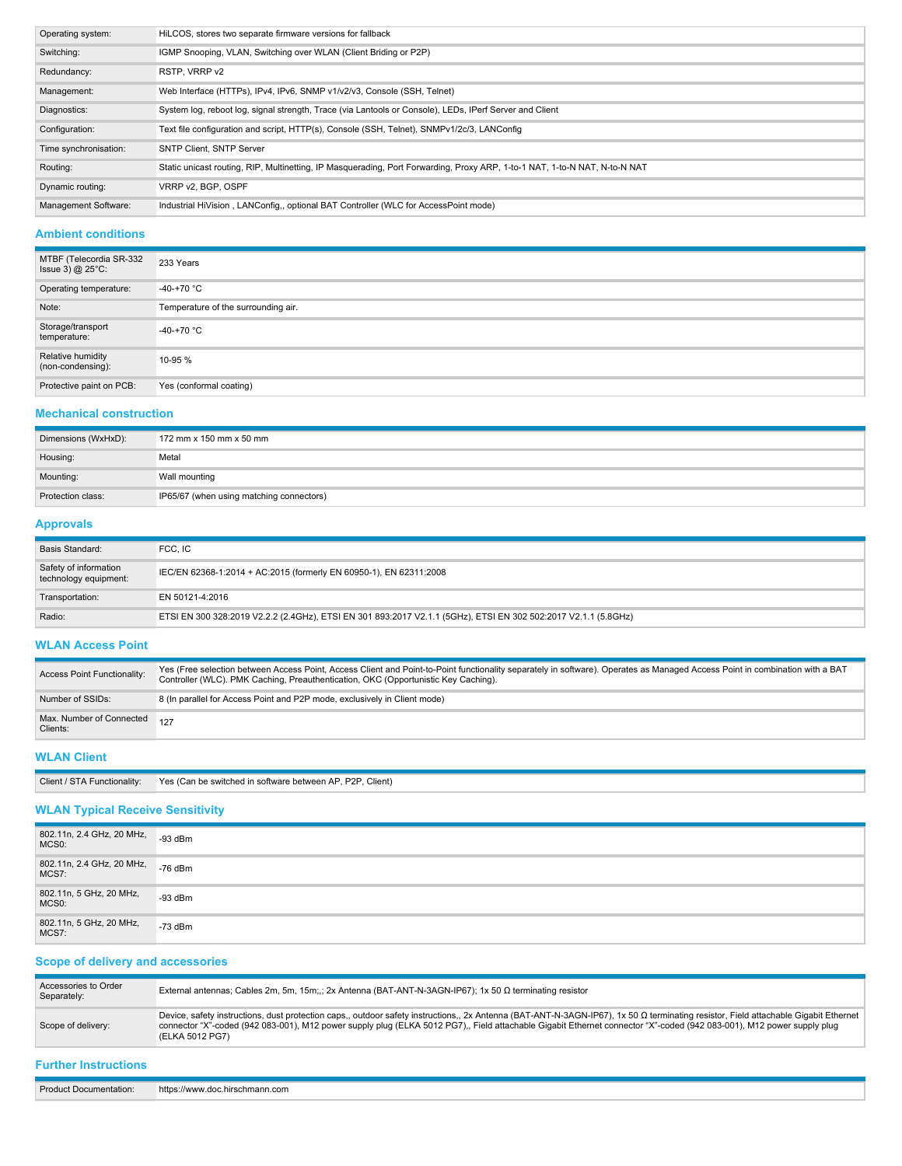| Operating system:     | HiLCOS, stores two separate firmware versions for fallback                                                                 |
|-----------------------|----------------------------------------------------------------------------------------------------------------------------|
| Switching:            | IGMP Snooping, VLAN, Switching over WLAN (Client Briding or P2P)                                                           |
| Redundancy:           | RSTP, VRRP v2                                                                                                              |
| Management:           | Web Interface (HTTPs), IPv4, IPv6, SNMP v1/v2/v3, Console (SSH, Telnet)                                                    |
| Diagnostics:          | System log, reboot log, signal strength, Trace (via Lantools or Console), LEDs, IPerf Server and Client                    |
| Configuration:        | Text file configuration and script, HTTP(s), Console (SSH, Telnet), SNMPv1/2c/3, LANConfig                                 |
| Time synchronisation: | <b>SNTP Client, SNTP Server</b>                                                                                            |
| Routing:              | Static unicast routing, RIP, Multinetting, IP Masquerading, Port Forwarding, Proxy ARP, 1-to-1 NAT, 1-to-N NAT, N-to-N NAT |
| Dynamic routing:      | VRRP v2. BGP, OSPF                                                                                                         |
| Management Software:  | Industrial HiVision, LANConfig,, optional BAT Controller (WLC for AccessPoint mode)                                        |

### **Ambient conditions**

| MTBF (Telecordia SR-332<br>Issue 3) $@$ 25 $°C$ : | 233 Years                           |
|---------------------------------------------------|-------------------------------------|
| Operating temperature:                            | -40-+70 $^{\circ}$ C                |
| Note:                                             | Temperature of the surrounding air. |
| Storage/transport<br>temperature:                 | -40-+70 $^{\circ}$ C                |
| Relative humidity<br>(non-condensing):            | 10-95 %                             |
| Protective paint on PCB:                          | Yes (conformal coating)             |

#### **Mechanical construction**

| Dimensions (WxHxD): | 172 mm x 150 mm x 50 mm                  |
|---------------------|------------------------------------------|
| Housing:            | Metal                                    |
| Mounting:           | Wall mounting                            |
| Protection class:   | IP65/67 (when using matching connectors) |

#### **Approvals**

| Basis Standard:                                | FCC. IC                                                                                                        |
|------------------------------------------------|----------------------------------------------------------------------------------------------------------------|
| Safety of information<br>technology equipment: | IEC/EN 62368-1:2014 + AC:2015 (formerly EN 60950-1), EN 62311:2008                                             |
| Transportation:                                | EN 50121-4:2016                                                                                                |
| Radio:                                         | ETSI EN 300 328:2019 V2.2.2 (2.4GHz), ETSI EN 301 893:2017 V2.1.1 (5GHz), ETSI EN 302 502:2017 V2.1.1 (5.8GHz) |

# **WLAN Access Point**

| Access Point Functionality:              | Yes (Free selection between Access Point, Access Client and Point-to-Point functionality separately in software). Operates as Managed Access Point in combination with a BAT<br>Controller (WLC). PMK Caching, Preauthentication, OKC (Opportunistic Key Caching). |
|------------------------------------------|--------------------------------------------------------------------------------------------------------------------------------------------------------------------------------------------------------------------------------------------------------------------|
| Number of SSIDs:                         | 8 (In parallel for Access Point and P2P mode, exclusively in Client mode)                                                                                                                                                                                          |
| Max. Number of Connected 127<br>Clients: |                                                                                                                                                                                                                                                                    |

#### **WLAN Client**

| Client         | P2P. Client)            |
|----------------|-------------------------|
| Functionality: | Yes (Can be switched in |
|                | n software between AP.  |
|                |                         |

# **WLAN Typical Receive Sensitivity**

| 802.11n, 2.4 GHz, 20 MHz,<br>MCS <sub>0</sub> : | $-93$ dBm |
|-------------------------------------------------|-----------|
| 802.11n, 2.4 GHz, 20 MHz,<br>MCS7:              | $-76$ dBm |
| 802.11n, 5 GHz, 20 MHz,<br>MCS <sub>0</sub> :   | $-93$ dBm |
| 802.11n, 5 GHz, 20 MHz,<br>MCS7:                | $-73$ dBm |

# **Scope of delivery and accessories**

| Accessories to Order<br>Separately: | External antennas; Cables 2m, 5m, 15m;,; 2x Antenna (BAT-ANT-N-3AGN-IP67); 1x 50 Ω terminating resistor                                                                                                                                                                                                                                                                         |
|-------------------------------------|---------------------------------------------------------------------------------------------------------------------------------------------------------------------------------------------------------------------------------------------------------------------------------------------------------------------------------------------------------------------------------|
| Scope of delivery:                  | Device, safety instructions, dust protection caps,, outdoor safety instructions,, 2x Antenna (BAT-ANT-N-3AGN-IP67), 1x 50 Ω terminating resistor, Field attachable Gigabit Ethernet<br>connector "X"-coded (942 083-001), M12 power supply pluq (ELKA 5012 PG7),, Field attachable Gigabit Ethernet connector "X"-coded (942 083-001), M12 power supply pluq<br>(ELKA 5012 PG7) |

#### **Further Instructions**

Product Documentation: https://www.doc.hirschmann.com